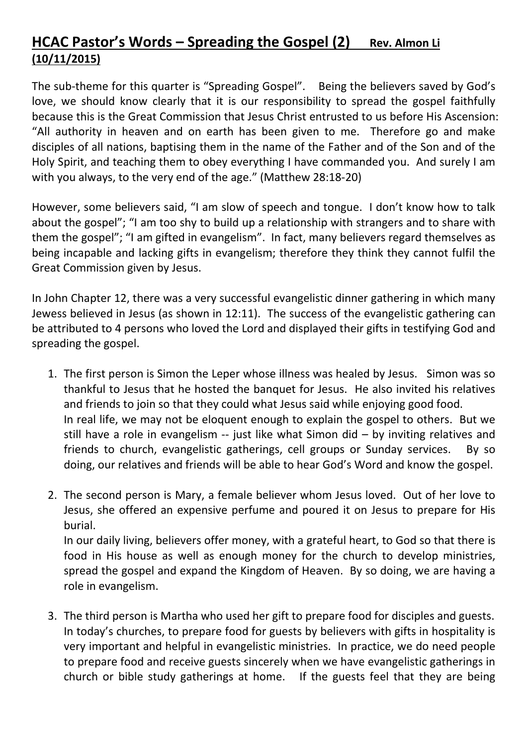## HCAC Pastor's Words – Spreading the Gospel (2) Rev. Almon Li (10/11/2015)

The sub-theme for this quarter is "Spreading Gospel". Being the believers saved by God's love, we should know clearly that it is our responsibility to spread the gospel faithfully because this is the Great Commission that Jesus Christ entrusted to us before His Ascension: "All authority in heaven and on earth has been given to me. Therefore go and make disciples of all nations, baptising them in the name of the Father and of the Son and of the Holy Spirit, and teaching them to obey everything I have commanded you. And surely I am with you always, to the very end of the age." (Matthew 28:18-20)

However, some believers said, "I am slow of speech and tongue. I don't know how to talk about the gospel"; "I am too shy to build up a relationship with strangers and to share with them the gospel"; "I am gifted in evangelism". In fact, many believers regard themselves as being incapable and lacking gifts in evangelism; therefore they think they cannot fulfil the Great Commission given by Jesus.

In John Chapter 12, there was a very successful evangelistic dinner gathering in which many Jewess believed in Jesus (as shown in 12:11). The success of the evangelistic gathering can be attributed to 4 persons who loved the Lord and displayed their gifts in testifying God and spreading the gospel.

- 1. The first person is Simon the Leper whose illness was healed by Jesus. Simon was so thankful to Jesus that he hosted the banquet for Jesus. He also invited his relatives and friends to join so that they could what Jesus said while enjoying good food. In real life, we may not be eloquent enough to explain the gospel to others. But we still have a role in evangelism -- just like what Simon did – by inviting relatives and friends to church, evangelistic gatherings, cell groups or Sunday services. By so doing, our relatives and friends will be able to hear God's Word and know the gospel.
- 2. The second person is Mary, a female believer whom Jesus loved. Out of her love to Jesus, she offered an expensive perfume and poured it on Jesus to prepare for His burial.

In our daily living, believers offer money, with a grateful heart, to God so that there is food in His house as well as enough money for the church to develop ministries, spread the gospel and expand the Kingdom of Heaven. By so doing, we are having a role in evangelism.

3. The third person is Martha who used her gift to prepare food for disciples and guests. In today's churches, to prepare food for guests by believers with gifts in hospitality is very important and helpful in evangelistic ministries. In practice, we do need people to prepare food and receive guests sincerely when we have evangelistic gatherings in church or bible study gatherings at home. If the guests feel that they are being